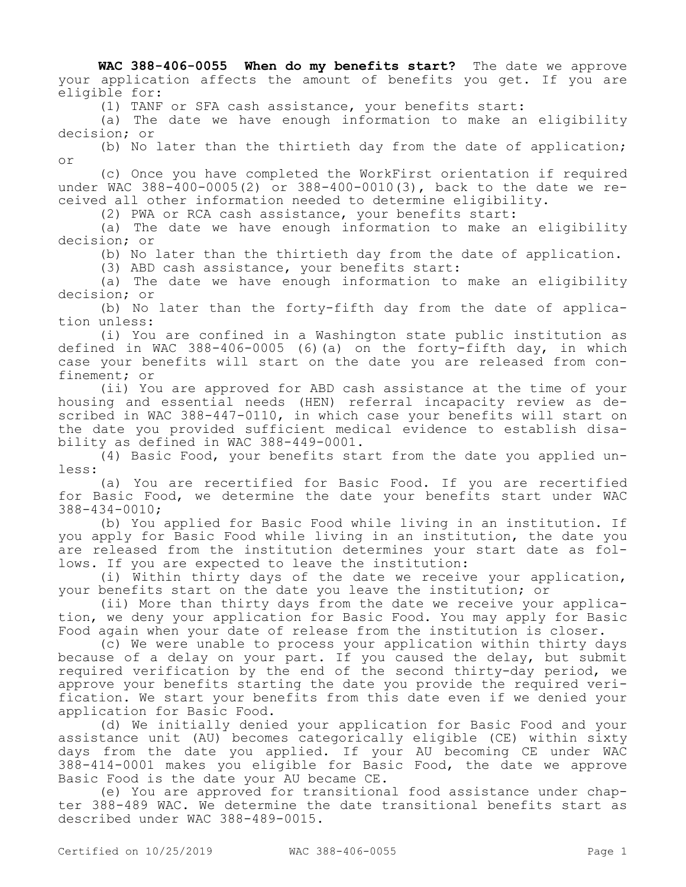**WAC 388-406-0055 When do my benefits start?** The date we approve your application affects the amount of benefits you get. If you are eligible for:

(1) TANF or SFA cash assistance, your benefits start:

(a) The date we have enough information to make an eligibility decision; or

(b) No later than the thirtieth day from the date of application; or

(c) Once you have completed the WorkFirst orientation if required under WAC 388-400-0005(2) or 388-400-0010(3), back to the date we received all other information needed to determine eligibility.

(2) PWA or RCA cash assistance, your benefits start:

(a) The date we have enough information to make an eligibility decision; or

(b) No later than the thirtieth day from the date of application.

(3) ABD cash assistance, your benefits start:

(a) The date we have enough information to make an eligibility decision; or

(b) No later than the forty-fifth day from the date of application unless:

(i) You are confined in a Washington state public institution as defined in WAC 388-406-0005 (6)(a) on the forty-fifth day, in which case your benefits will start on the date you are released from confinement; or

(ii) You are approved for ABD cash assistance at the time of your housing and essential needs (HEN) referral incapacity review as described in WAC 388-447-0110, in which case your benefits will start on the date you provided sufficient medical evidence to establish disability as defined in WAC 388-449-0001.

(4) Basic Food, your benefits start from the date you applied unless:

(a) You are recertified for Basic Food. If you are recertified for Basic Food, we determine the date your benefits start under WAC 388-434-0010;

(b) You applied for Basic Food while living in an institution. If you apply for Basic Food while living in an institution, the date you are released from the institution determines your start date as follows. If you are expected to leave the institution:

(i) Within thirty days of the date we receive your application, your benefits start on the date you leave the institution; or

(ii) More than thirty days from the date we receive your application, we deny your application for Basic Food. You may apply for Basic Food again when your date of release from the institution is closer.

(c) We were unable to process your application within thirty days because of a delay on your part. If you caused the delay, but submit required verification by the end of the second thirty-day period, we approve your benefits starting the date you provide the required verification. We start your benefits from this date even if we denied your application for Basic Food.

(d) We initially denied your application for Basic Food and your assistance unit (AU) becomes categorically eligible (CE) within sixty days from the date you applied. If your AU becoming CE under WAC 388-414-0001 makes you eligible for Basic Food, the date we approve Basic Food is the date your AU became CE.

(e) You are approved for transitional food assistance under chapter 388-489 WAC. We determine the date transitional benefits start as described under WAC 388-489-0015.